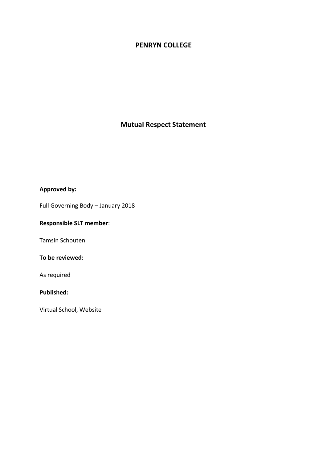### **PENRYN COLLEGE**

# **Mutual Respect Statement**

# **Approved by:**

Full Governing Body – January 2018

# **Responsible SLT member**:

Tamsin Schouten

### **To be reviewed:**

As required

### **Published:**

Virtual School, Website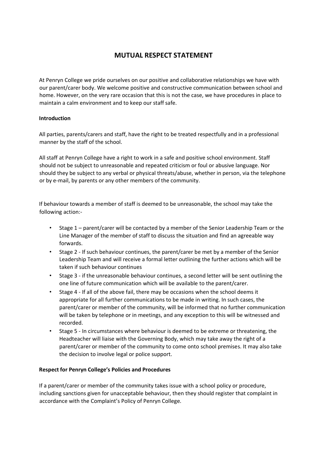# **MUTUAL RESPECT STATEMENT**

At Penryn College we pride ourselves on our positive and collaborative relationships we have with our parent/carer body. We welcome positive and constructive communication between school and home. However, on the very rare occasion that this is not the case, we have procedures in place to maintain a calm environment and to keep our staff safe.

### **Introduction**

All parties, parents/carers and staff, have the right to be treated respectfully and in a professional manner by the staff of the school.

All staff at Penryn College have a right to work in a safe and positive school environment. Staff should not be subject to unreasonable and repeated criticism or foul or abusive language. Nor should they be subject to any verbal or physical threats/abuse, whether in person, via the telephone or by e-mail, by parents or any other members of the community.

If behaviour towards a member of staff is deemed to be unreasonable, the school may take the following action:-

- Stage 1 parent/carer will be contacted by a member of the Senior Leadership Team or the Line Manager of the member of staff to discuss the situation and find an agreeable way forwards.
- Stage 2 If such behaviour continues, the parent/carer be met by a member of the Senior Leadership Team and will receive a formal letter outlining the further actions which will be taken if such behaviour continues
- Stage 3 if the unreasonable behaviour continues, a second letter will be sent outlining the one line of future communication which will be available to the parent/carer.
- Stage 4 If all of the above fail, there may be occasions when the school deems it appropriate for all further communications to be made in writing. In such cases, the parent/carer or member of the community, will be informed that no further communication will be taken by telephone or in meetings, and any exception to this will be witnessed and recorded.
- Stage 5 In circumstances where behaviour is deemed to be extreme or threatening, the Headteacher will liaise with the Governing Body, which may take away the right of a parent/carer or member of the community to come onto school premises. It may also take the decision to involve legal or police support.

#### **Respect for Penryn College's Policies and Procedures**

If a parent/carer or member of the community takes issue with a school policy or procedure, including sanctions given for unacceptable behaviour, then they should register that complaint in accordance with the Complaint's Policy of Penryn College.